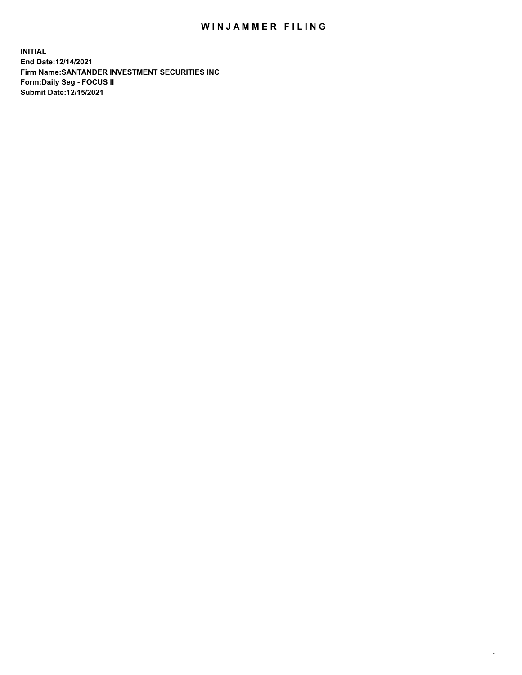## WIN JAMMER FILING

**INITIAL End Date:12/14/2021 Firm Name:SANTANDER INVESTMENT SECURITIES INC Form:Daily Seg - FOCUS II Submit Date:12/15/2021**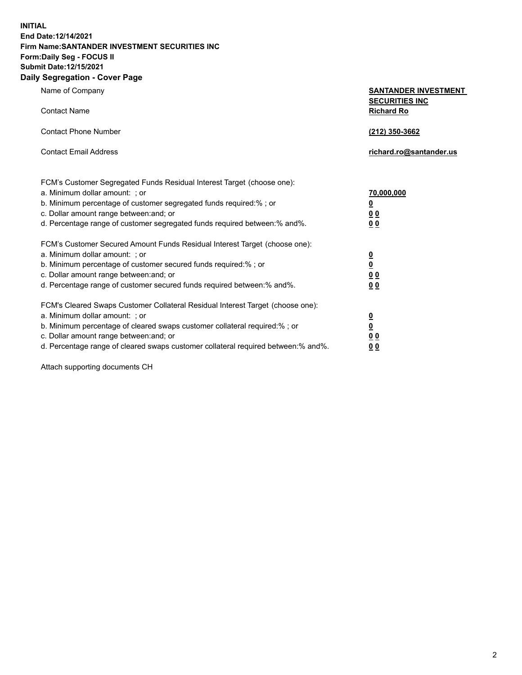**INITIAL End Date:12/14/2021 Firm Name:SANTANDER INVESTMENT SECURITIES INC Form:Daily Seg - FOCUS II Submit Date:12/15/2021 Daily Segregation - Cover Page**

Name of Company **SANTANDER INVESTMENT SECURITIES INC** Contact Name **Richard Ro** Contact Phone Number **(212) 350-3662** Contact Email Address **richard.ro@santander.us** FCM's Customer Segregated Funds Residual Interest Target (choose one): a. Minimum dollar amount: ; or **70,000,000** b. Minimum percentage of customer segregated funds required:% ; or **0** c. Dollar amount range between:and; or **0 0** d. Percentage range of customer segregated funds required between:% and%. **0 0** FCM's Customer Secured Amount Funds Residual Interest Target (choose one): a. Minimum dollar amount: ; or **0** b. Minimum percentage of customer secured funds required:% ; or **0** c. Dollar amount range between:and; or **0 0** d. Percentage range of customer secured funds required between:% and%. **0 0** FCM's Cleared Swaps Customer Collateral Residual Interest Target (choose one): a. Minimum dollar amount: ; or **0** b. Minimum percentage of cleared swaps customer collateral required:% ; or **0** c. Dollar amount range between:and; or **0 0** d. Percentage range of cleared swaps customer collateral required between:% and%. **0 0**

Attach supporting documents CH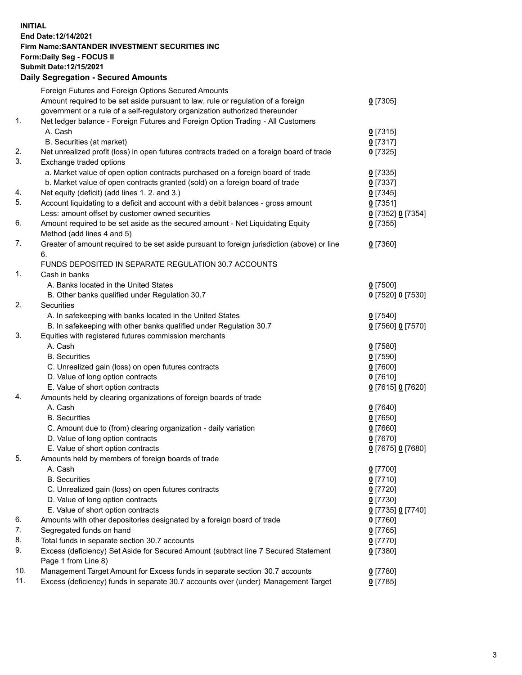## **INITIAL End Date:12/14/2021 Firm Name:SANTANDER INVESTMENT SECURITIES INC Form:Daily Seg - FOCUS II Submit Date:12/15/2021 Daily Segregation - Secured Amounts**

|     | Foreign Futures and Foreign Options Secured Amounts                                         |                   |
|-----|---------------------------------------------------------------------------------------------|-------------------|
|     | Amount required to be set aside pursuant to law, rule or regulation of a foreign            | $0$ [7305]        |
|     | government or a rule of a self-regulatory organization authorized thereunder                |                   |
| 1.  | Net ledger balance - Foreign Futures and Foreign Option Trading - All Customers             |                   |
|     | A. Cash                                                                                     | $0$ [7315]        |
|     | B. Securities (at market)                                                                   | $0$ [7317]        |
| 2.  | Net unrealized profit (loss) in open futures contracts traded on a foreign board of trade   | $0$ [7325]        |
| 3.  | Exchange traded options                                                                     |                   |
|     | a. Market value of open option contracts purchased on a foreign board of trade              | $0$ [7335]        |
|     | b. Market value of open contracts granted (sold) on a foreign board of trade                | $0$ [7337]        |
| 4.  | Net equity (deficit) (add lines 1. 2. and 3.)                                               | $0$ [7345]        |
| 5.  | Account liquidating to a deficit and account with a debit balances - gross amount           | $0$ [7351]        |
|     | Less: amount offset by customer owned securities                                            | 0 [7352] 0 [7354] |
| 6.  | Amount required to be set aside as the secured amount - Net Liquidating Equity              | $0$ [7355]        |
|     | Method (add lines 4 and 5)                                                                  |                   |
| 7.  | Greater of amount required to be set aside pursuant to foreign jurisdiction (above) or line | $0$ [7360]        |
|     | 6.                                                                                          |                   |
|     | FUNDS DEPOSITED IN SEPARATE REGULATION 30.7 ACCOUNTS                                        |                   |
| 1.  | Cash in banks                                                                               |                   |
|     | A. Banks located in the United States                                                       | $0$ [7500]        |
|     | B. Other banks qualified under Regulation 30.7                                              | 0 [7520] 0 [7530] |
| 2.  | Securities                                                                                  |                   |
|     | A. In safekeeping with banks located in the United States                                   | $0$ [7540]        |
|     | B. In safekeeping with other banks qualified under Regulation 30.7                          | 0 [7560] 0 [7570] |
| 3.  | Equities with registered futures commission merchants                                       |                   |
|     | A. Cash                                                                                     | $0$ [7580]        |
|     | <b>B.</b> Securities                                                                        | <u>0</u> [7590]   |
|     | C. Unrealized gain (loss) on open futures contracts                                         | $0$ [7600]        |
|     | D. Value of long option contracts                                                           | $0$ [7610]        |
|     | E. Value of short option contracts                                                          | 0 [7615] 0 [7620] |
| 4.  | Amounts held by clearing organizations of foreign boards of trade                           |                   |
|     | A. Cash                                                                                     | $0$ [7640]        |
|     | <b>B.</b> Securities                                                                        | $0$ [7650]        |
|     | C. Amount due to (from) clearing organization - daily variation                             | $0$ [7660]        |
|     | D. Value of long option contracts                                                           | $0$ [7670]        |
|     | E. Value of short option contracts                                                          | 0 [7675] 0 [7680] |
| 5.  | Amounts held by members of foreign boards of trade                                          |                   |
|     | A. Cash                                                                                     | $0$ [7700]        |
|     | <b>B.</b> Securities                                                                        | $0$ [7710]        |
|     | C. Unrealized gain (loss) on open futures contracts                                         | $0$ [7720]        |
|     | D. Value of long option contracts                                                           | $0$ [7730]        |
|     | E. Value of short option contracts                                                          | 0 [7735] 0 [7740] |
| 6.  | Amounts with other depositories designated by a foreign board of trade                      | $0$ [7760]        |
| 7.  | Segregated funds on hand                                                                    | $0$ [7765]        |
| 8.  | Total funds in separate section 30.7 accounts                                               | $0$ [7770]        |
| 9.  | Excess (deficiency) Set Aside for Secured Amount (subtract line 7 Secured Statement         | 0 [7380]          |
|     | Page 1 from Line 8)                                                                         |                   |
| 10. | Management Target Amount for Excess funds in separate section 30.7 accounts                 | 0 [7780]          |
| 11. | Excess (deficiency) funds in separate 30.7 accounts over (under) Management Target          | $0$ [7785]        |
|     |                                                                                             |                   |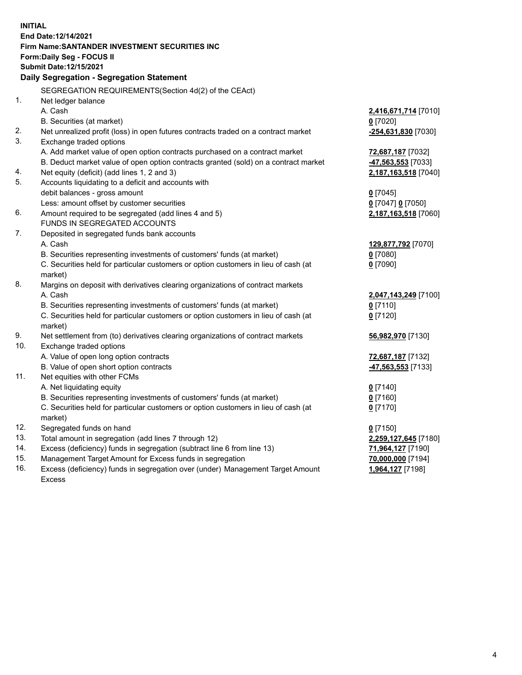| End Date:12/14/2021<br>Firm Name: SANTANDER INVESTMENT SECURITIES INC<br>Form: Daily Seg - FOCUS II<br>Submit Date:12/15/2021<br>Daily Segregation - Segregation Statement<br>SEGREGATION REQUIREMENTS(Section 4d(2) of the CEAct)<br>1.<br>Net ledger balance<br>A. Cash<br>2,416,671,714 [7010]<br>B. Securities (at market)<br>$0$ [7020]<br>2.<br>Net unrealized profit (loss) in open futures contracts traded on a contract market<br>-254,631,830 [7030]<br>3.<br>Exchange traded options<br>A. Add market value of open option contracts purchased on a contract market<br>72,687,187 [7032]<br>B. Deduct market value of open option contracts granted (sold) on a contract market<br>47,563,553 [7033]<br>Net equity (deficit) (add lines 1, 2 and 3)<br>4.<br>2,187,163,518 [7040]<br>5.<br>Accounts liquidating to a deficit and accounts with<br>debit balances - gross amount<br>$0$ [7045]<br>Less: amount offset by customer securities<br>0 [7047] 0 [7050]<br>6.<br>Amount required to be segregated (add lines 4 and 5)<br>2,187,163,518 [7060]<br>FUNDS IN SEGREGATED ACCOUNTS<br>7.<br>Deposited in segregated funds bank accounts<br>A. Cash<br>129,877,792 [7070]<br>B. Securities representing investments of customers' funds (at market)<br>$0$ [7080]<br>C. Securities held for particular customers or option customers in lieu of cash (at<br>$0$ [7090]<br>market)<br>8.<br>Margins on deposit with derivatives clearing organizations of contract markets<br>A. Cash<br>2,047,143,249 [7100]<br>B. Securities representing investments of customers' funds (at market)<br>$0$ [7110]<br>C. Securities held for particular customers or option customers in lieu of cash (at<br>$0$ [7120]<br>market) |
|-------------------------------------------------------------------------------------------------------------------------------------------------------------------------------------------------------------------------------------------------------------------------------------------------------------------------------------------------------------------------------------------------------------------------------------------------------------------------------------------------------------------------------------------------------------------------------------------------------------------------------------------------------------------------------------------------------------------------------------------------------------------------------------------------------------------------------------------------------------------------------------------------------------------------------------------------------------------------------------------------------------------------------------------------------------------------------------------------------------------------------------------------------------------------------------------------------------------------------------------------------------------------------------------------------------------------------------------------------------------------------------------------------------------------------------------------------------------------------------------------------------------------------------------------------------------------------------------------------------------------------------------------------------------------------------------------------------------------------------|
|                                                                                                                                                                                                                                                                                                                                                                                                                                                                                                                                                                                                                                                                                                                                                                                                                                                                                                                                                                                                                                                                                                                                                                                                                                                                                                                                                                                                                                                                                                                                                                                                                                                                                                                                     |
|                                                                                                                                                                                                                                                                                                                                                                                                                                                                                                                                                                                                                                                                                                                                                                                                                                                                                                                                                                                                                                                                                                                                                                                                                                                                                                                                                                                                                                                                                                                                                                                                                                                                                                                                     |
|                                                                                                                                                                                                                                                                                                                                                                                                                                                                                                                                                                                                                                                                                                                                                                                                                                                                                                                                                                                                                                                                                                                                                                                                                                                                                                                                                                                                                                                                                                                                                                                                                                                                                                                                     |
|                                                                                                                                                                                                                                                                                                                                                                                                                                                                                                                                                                                                                                                                                                                                                                                                                                                                                                                                                                                                                                                                                                                                                                                                                                                                                                                                                                                                                                                                                                                                                                                                                                                                                                                                     |
|                                                                                                                                                                                                                                                                                                                                                                                                                                                                                                                                                                                                                                                                                                                                                                                                                                                                                                                                                                                                                                                                                                                                                                                                                                                                                                                                                                                                                                                                                                                                                                                                                                                                                                                                     |
|                                                                                                                                                                                                                                                                                                                                                                                                                                                                                                                                                                                                                                                                                                                                                                                                                                                                                                                                                                                                                                                                                                                                                                                                                                                                                                                                                                                                                                                                                                                                                                                                                                                                                                                                     |
|                                                                                                                                                                                                                                                                                                                                                                                                                                                                                                                                                                                                                                                                                                                                                                                                                                                                                                                                                                                                                                                                                                                                                                                                                                                                                                                                                                                                                                                                                                                                                                                                                                                                                                                                     |
|                                                                                                                                                                                                                                                                                                                                                                                                                                                                                                                                                                                                                                                                                                                                                                                                                                                                                                                                                                                                                                                                                                                                                                                                                                                                                                                                                                                                                                                                                                                                                                                                                                                                                                                                     |
|                                                                                                                                                                                                                                                                                                                                                                                                                                                                                                                                                                                                                                                                                                                                                                                                                                                                                                                                                                                                                                                                                                                                                                                                                                                                                                                                                                                                                                                                                                                                                                                                                                                                                                                                     |
|                                                                                                                                                                                                                                                                                                                                                                                                                                                                                                                                                                                                                                                                                                                                                                                                                                                                                                                                                                                                                                                                                                                                                                                                                                                                                                                                                                                                                                                                                                                                                                                                                                                                                                                                     |
|                                                                                                                                                                                                                                                                                                                                                                                                                                                                                                                                                                                                                                                                                                                                                                                                                                                                                                                                                                                                                                                                                                                                                                                                                                                                                                                                                                                                                                                                                                                                                                                                                                                                                                                                     |
|                                                                                                                                                                                                                                                                                                                                                                                                                                                                                                                                                                                                                                                                                                                                                                                                                                                                                                                                                                                                                                                                                                                                                                                                                                                                                                                                                                                                                                                                                                                                                                                                                                                                                                                                     |
|                                                                                                                                                                                                                                                                                                                                                                                                                                                                                                                                                                                                                                                                                                                                                                                                                                                                                                                                                                                                                                                                                                                                                                                                                                                                                                                                                                                                                                                                                                                                                                                                                                                                                                                                     |
|                                                                                                                                                                                                                                                                                                                                                                                                                                                                                                                                                                                                                                                                                                                                                                                                                                                                                                                                                                                                                                                                                                                                                                                                                                                                                                                                                                                                                                                                                                                                                                                                                                                                                                                                     |
|                                                                                                                                                                                                                                                                                                                                                                                                                                                                                                                                                                                                                                                                                                                                                                                                                                                                                                                                                                                                                                                                                                                                                                                                                                                                                                                                                                                                                                                                                                                                                                                                                                                                                                                                     |
|                                                                                                                                                                                                                                                                                                                                                                                                                                                                                                                                                                                                                                                                                                                                                                                                                                                                                                                                                                                                                                                                                                                                                                                                                                                                                                                                                                                                                                                                                                                                                                                                                                                                                                                                     |
|                                                                                                                                                                                                                                                                                                                                                                                                                                                                                                                                                                                                                                                                                                                                                                                                                                                                                                                                                                                                                                                                                                                                                                                                                                                                                                                                                                                                                                                                                                                                                                                                                                                                                                                                     |
|                                                                                                                                                                                                                                                                                                                                                                                                                                                                                                                                                                                                                                                                                                                                                                                                                                                                                                                                                                                                                                                                                                                                                                                                                                                                                                                                                                                                                                                                                                                                                                                                                                                                                                                                     |
|                                                                                                                                                                                                                                                                                                                                                                                                                                                                                                                                                                                                                                                                                                                                                                                                                                                                                                                                                                                                                                                                                                                                                                                                                                                                                                                                                                                                                                                                                                                                                                                                                                                                                                                                     |
|                                                                                                                                                                                                                                                                                                                                                                                                                                                                                                                                                                                                                                                                                                                                                                                                                                                                                                                                                                                                                                                                                                                                                                                                                                                                                                                                                                                                                                                                                                                                                                                                                                                                                                                                     |
|                                                                                                                                                                                                                                                                                                                                                                                                                                                                                                                                                                                                                                                                                                                                                                                                                                                                                                                                                                                                                                                                                                                                                                                                                                                                                                                                                                                                                                                                                                                                                                                                                                                                                                                                     |
|                                                                                                                                                                                                                                                                                                                                                                                                                                                                                                                                                                                                                                                                                                                                                                                                                                                                                                                                                                                                                                                                                                                                                                                                                                                                                                                                                                                                                                                                                                                                                                                                                                                                                                                                     |
|                                                                                                                                                                                                                                                                                                                                                                                                                                                                                                                                                                                                                                                                                                                                                                                                                                                                                                                                                                                                                                                                                                                                                                                                                                                                                                                                                                                                                                                                                                                                                                                                                                                                                                                                     |
|                                                                                                                                                                                                                                                                                                                                                                                                                                                                                                                                                                                                                                                                                                                                                                                                                                                                                                                                                                                                                                                                                                                                                                                                                                                                                                                                                                                                                                                                                                                                                                                                                                                                                                                                     |
|                                                                                                                                                                                                                                                                                                                                                                                                                                                                                                                                                                                                                                                                                                                                                                                                                                                                                                                                                                                                                                                                                                                                                                                                                                                                                                                                                                                                                                                                                                                                                                                                                                                                                                                                     |
|                                                                                                                                                                                                                                                                                                                                                                                                                                                                                                                                                                                                                                                                                                                                                                                                                                                                                                                                                                                                                                                                                                                                                                                                                                                                                                                                                                                                                                                                                                                                                                                                                                                                                                                                     |
|                                                                                                                                                                                                                                                                                                                                                                                                                                                                                                                                                                                                                                                                                                                                                                                                                                                                                                                                                                                                                                                                                                                                                                                                                                                                                                                                                                                                                                                                                                                                                                                                                                                                                                                                     |
|                                                                                                                                                                                                                                                                                                                                                                                                                                                                                                                                                                                                                                                                                                                                                                                                                                                                                                                                                                                                                                                                                                                                                                                                                                                                                                                                                                                                                                                                                                                                                                                                                                                                                                                                     |
|                                                                                                                                                                                                                                                                                                                                                                                                                                                                                                                                                                                                                                                                                                                                                                                                                                                                                                                                                                                                                                                                                                                                                                                                                                                                                                                                                                                                                                                                                                                                                                                                                                                                                                                                     |
| 9.<br>Net settlement from (to) derivatives clearing organizations of contract markets<br>56,982,970 [7130]                                                                                                                                                                                                                                                                                                                                                                                                                                                                                                                                                                                                                                                                                                                                                                                                                                                                                                                                                                                                                                                                                                                                                                                                                                                                                                                                                                                                                                                                                                                                                                                                                          |
| 10.<br>Exchange traded options                                                                                                                                                                                                                                                                                                                                                                                                                                                                                                                                                                                                                                                                                                                                                                                                                                                                                                                                                                                                                                                                                                                                                                                                                                                                                                                                                                                                                                                                                                                                                                                                                                                                                                      |
| A. Value of open long option contracts<br>72,687,187 [7132]                                                                                                                                                                                                                                                                                                                                                                                                                                                                                                                                                                                                                                                                                                                                                                                                                                                                                                                                                                                                                                                                                                                                                                                                                                                                                                                                                                                                                                                                                                                                                                                                                                                                         |
| B. Value of open short option contracts<br>47,563,553 [7133]                                                                                                                                                                                                                                                                                                                                                                                                                                                                                                                                                                                                                                                                                                                                                                                                                                                                                                                                                                                                                                                                                                                                                                                                                                                                                                                                                                                                                                                                                                                                                                                                                                                                        |
| 11.<br>Net equities with other FCMs                                                                                                                                                                                                                                                                                                                                                                                                                                                                                                                                                                                                                                                                                                                                                                                                                                                                                                                                                                                                                                                                                                                                                                                                                                                                                                                                                                                                                                                                                                                                                                                                                                                                                                 |
| A. Net liquidating equity<br>$0$ [7140]                                                                                                                                                                                                                                                                                                                                                                                                                                                                                                                                                                                                                                                                                                                                                                                                                                                                                                                                                                                                                                                                                                                                                                                                                                                                                                                                                                                                                                                                                                                                                                                                                                                                                             |
| B. Securities representing investments of customers' funds (at market)<br>$0$ [7160]                                                                                                                                                                                                                                                                                                                                                                                                                                                                                                                                                                                                                                                                                                                                                                                                                                                                                                                                                                                                                                                                                                                                                                                                                                                                                                                                                                                                                                                                                                                                                                                                                                                |
| C. Securities held for particular customers or option customers in lieu of cash (at<br>$0$ [7170]                                                                                                                                                                                                                                                                                                                                                                                                                                                                                                                                                                                                                                                                                                                                                                                                                                                                                                                                                                                                                                                                                                                                                                                                                                                                                                                                                                                                                                                                                                                                                                                                                                   |
| market)<br>12.                                                                                                                                                                                                                                                                                                                                                                                                                                                                                                                                                                                                                                                                                                                                                                                                                                                                                                                                                                                                                                                                                                                                                                                                                                                                                                                                                                                                                                                                                                                                                                                                                                                                                                                      |
| Segregated funds on hand<br>$0$ [7150]<br>13.                                                                                                                                                                                                                                                                                                                                                                                                                                                                                                                                                                                                                                                                                                                                                                                                                                                                                                                                                                                                                                                                                                                                                                                                                                                                                                                                                                                                                                                                                                                                                                                                                                                                                       |
| Total amount in segregation (add lines 7 through 12)<br>2,259,127,645 [7180]<br>14.<br>Excess (deficiency) funds in segregation (subtract line 6 from line 13)                                                                                                                                                                                                                                                                                                                                                                                                                                                                                                                                                                                                                                                                                                                                                                                                                                                                                                                                                                                                                                                                                                                                                                                                                                                                                                                                                                                                                                                                                                                                                                      |
| 71,964,127 [7190]<br>15.<br>Management Target Amount for Excess funds in segregation<br>70,000,000 [7194]                                                                                                                                                                                                                                                                                                                                                                                                                                                                                                                                                                                                                                                                                                                                                                                                                                                                                                                                                                                                                                                                                                                                                                                                                                                                                                                                                                                                                                                                                                                                                                                                                           |
| 16.<br>Excess (deficiency) funds in segregation over (under) Management Target Amount<br>1,964,127 [7198]                                                                                                                                                                                                                                                                                                                                                                                                                                                                                                                                                                                                                                                                                                                                                                                                                                                                                                                                                                                                                                                                                                                                                                                                                                                                                                                                                                                                                                                                                                                                                                                                                           |
| <b>Excess</b>                                                                                                                                                                                                                                                                                                                                                                                                                                                                                                                                                                                                                                                                                                                                                                                                                                                                                                                                                                                                                                                                                                                                                                                                                                                                                                                                                                                                                                                                                                                                                                                                                                                                                                                       |